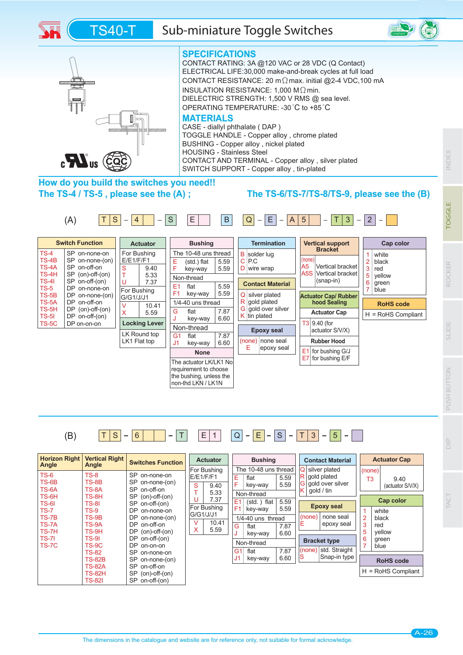





#### **SPECIFICATIONS**

CONTACT RATING: 3A @120 VAC or 28 VDC (Q Contact) ELECTRICAL LIFE:30,000 make-and-break cycles at full load CONTACT RESISTANCE: 20 m $\Omega$  max. initial @2-4 VDC,100 mA INSULATION RESISTANCE: 1,000 M $\Omega$  min. DIELECTRIC STRENGTH: 1,500 V RMS @ sea level. OPERATING TEMPERATURE: -30°C to +85°C

#### **MATERIALS**

CASE - diallyl phthalate ( DAP ) TOGGLE HANDLE - Copper alloy , chrome plated BUSHING - Copper alloy , nickel plated HOUSING - Stainless Steel CONTACT AND TERMINAL - Copper alloy , silver plated SWITCH SUPPORT - Copper alloy , tin-plated

## **How do you build the switches you need!! The TS-4 / TS-5 , please see the (A) ;**

### **The TS-6/TS-7/TS-8/TS-9, please see the (B)**





**ROCKER**

ROCKEI

**INDEX** 

TOGGLE



(B)  $\boxed{T \mid S \mid -6}$   $\boxed{T \mid T \mid E \mid 1}$   $\boxed{Q \mid E \mid -S \mid -T \mid 3}$   $\boxed{5}$   $\boxed{-}$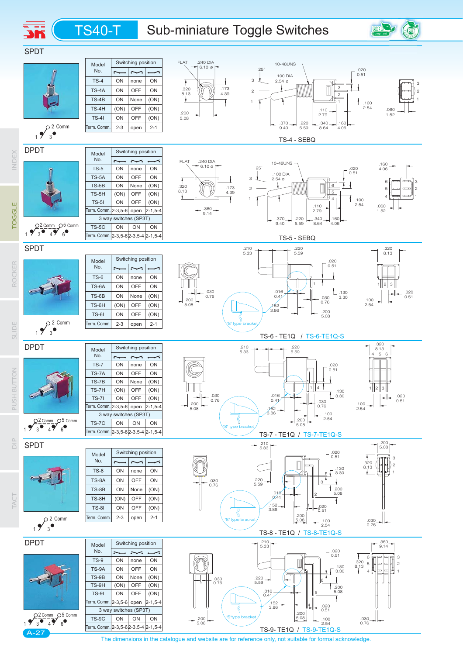# TS40-T Sub-miniature Toggle Switches

**SH** 





The dimensions in the catalogue and website are for reference only, not suitable for formal acknowledge.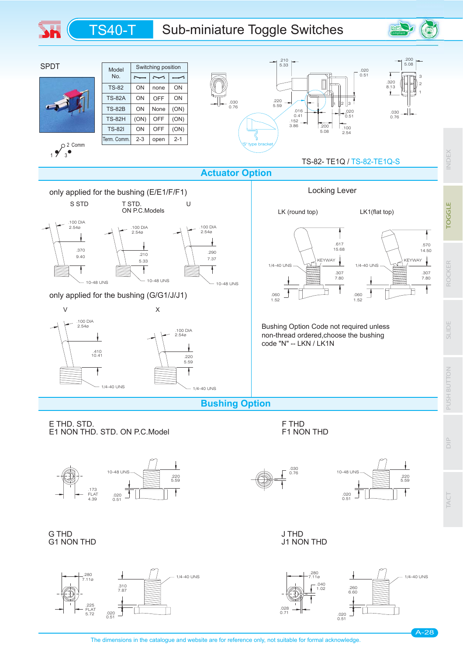# TS40-T Sub-miniature Toggle Switches



The dimensions in the catalogue and website are for reference only, not suitable for formal acknowledge.

**ROCKER**

ROCKER

**INDEX** 

**TOGGLE** 

Compliant

**SLIDE**